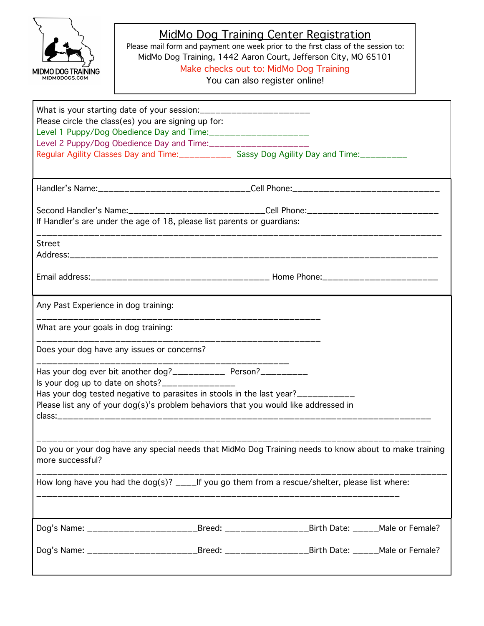

## MidMo Dog Training Center Registration

Please mail form and payment one week prior to the first class of the session to: MidMo Dog Training, 1442 Aaron Court, Jefferson City, MO 65101 Make checks out to: MidMo Dog Training

You can also register online!

| What is your starting date of your session:________________________<br>Please circle the class(es) you are signing up for:<br>Level 2 Puppy/Dog Obedience Day and Time:_____________________<br>Regular Agility Classes Day and Time:____________ Sassy Dog Agility Day and Time:_________  |                                     |  |
|---------------------------------------------------------------------------------------------------------------------------------------------------------------------------------------------------------------------------------------------------------------------------------------------|-------------------------------------|--|
| Handler's Name:________________________________Cell Phone:______________________                                                                                                                                                                                                            |                                     |  |
| Second Handler's Name:____________________________Cell Phone:____________________<br>If Handler's are under the age of 18, please list parents or guardians:                                                                                                                                |                                     |  |
| <b>Street</b>                                                                                                                                                                                                                                                                               |                                     |  |
|                                                                                                                                                                                                                                                                                             |                                     |  |
| Any Past Experience in dog training:                                                                                                                                                                                                                                                        |                                     |  |
| What are your goals in dog training:                                                                                                                                                                                                                                                        | ___________________________________ |  |
| Does your dog have any issues or concerns?                                                                                                                                                                                                                                                  |                                     |  |
| Has your dog ever bit another dog?___________ Person?_________<br>Is your dog up to date on shots?_______________<br>Has your dog tested negative to parasites in stools in the last year?__________<br>Please list any of your dog(s)'s problem behaviors that you would like addressed in |                                     |  |
| Do you or your dog have any special needs that MidMo Dog Training needs to know about to make training<br>more successful?                                                                                                                                                                  |                                     |  |
| How long have you had the dog(s)? $\sqrt{2}$ = If you go them from a rescue/shelter, please list where:                                                                                                                                                                                     |                                     |  |
| Dog's Name: ____________________________Breed: _________________________Birth Date: ______Male or Female?                                                                                                                                                                                   |                                     |  |
| Dog's Name: ___________________________Breed: _______________________Birth Date: ______Male or Female?                                                                                                                                                                                      |                                     |  |